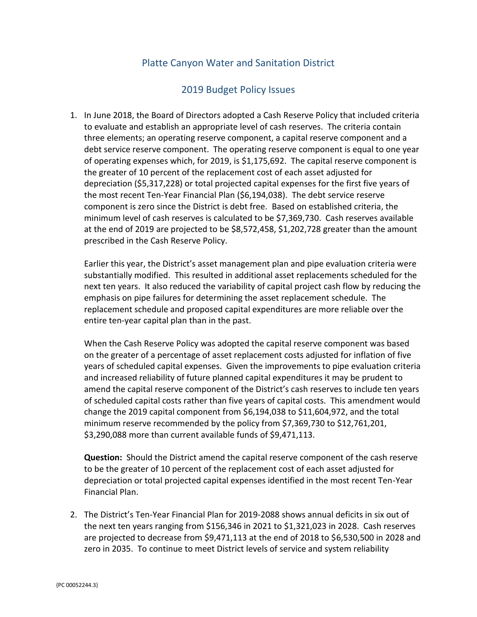## Platte Canyon Water and Sanitation District

## 2019 Budget Policy Issues

1. In June 2018, the Board of Directors adopted a Cash Reserve Policy that included criteria to evaluate and establish an appropriate level of cash reserves. The criteria contain three elements; an operating reserve component, a capital reserve component and a debt service reserve component. The operating reserve component is equal to one year of operating expenses which, for 2019, is \$1,175,692. The capital reserve component is the greater of 10 percent of the replacement cost of each asset adjusted for depreciation (\$5,317,228) or total projected capital expenses for the first five years of the most recent Ten-Year Financial Plan (\$6,194,038). The debt service reserve component is zero since the District is debt free. Based on established criteria, the minimum level of cash reserves is calculated to be \$7,369,730. Cash reserves available at the end of 2019 are projected to be \$8,572,458, \$1,202,728 greater than the amount prescribed in the Cash Reserve Policy.

Earlier this year, the District's asset management plan and pipe evaluation criteria were substantially modified. This resulted in additional asset replacements scheduled for the next ten years. It also reduced the variability of capital project cash flow by reducing the emphasis on pipe failures for determining the asset replacement schedule. The replacement schedule and proposed capital expenditures are more reliable over the entire ten-year capital plan than in the past.

When the Cash Reserve Policy was adopted the capital reserve component was based on the greater of a percentage of asset replacement costs adjusted for inflation of five years of scheduled capital expenses. Given the improvements to pipe evaluation criteria and increased reliability of future planned capital expenditures it may be prudent to amend the capital reserve component of the District's cash reserves to include ten years of scheduled capital costs rather than five years of capital costs. This amendment would change the 2019 capital component from \$6,194,038 to \$11,604,972, and the total minimum reserve recommended by the policy from \$7,369,730 to \$12,761,201, \$3,290,088 more than current available funds of \$9,471,113.

**Question:** Should the District amend the capital reserve component of the cash reserve to be the greater of 10 percent of the replacement cost of each asset adjusted for depreciation or total projected capital expenses identified in the most recent Ten-Year Financial Plan.

2. The District's Ten-Year Financial Plan for 2019-2088 shows annual deficits in six out of the next ten years ranging from \$156,346 in 2021 to \$1,321,023 in 2028. Cash reserves are projected to decrease from \$9,471,113 at the end of 2018 to \$6,530,500 in 2028 and zero in 2035. To continue to meet District levels of service and system reliability